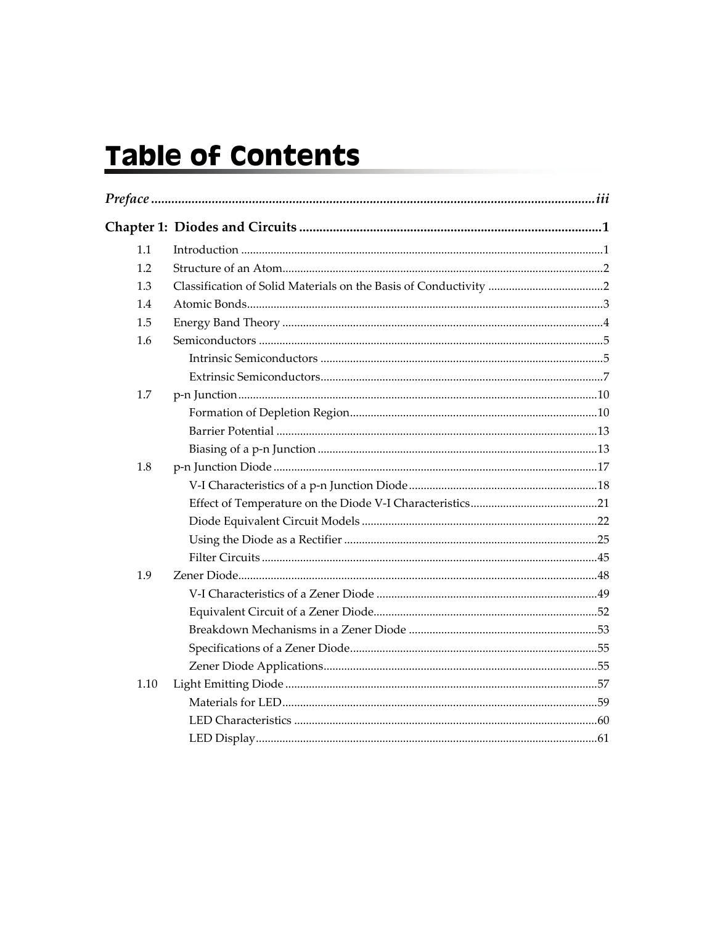# Table of Contents

| 1.1  |  |  |  |
|------|--|--|--|
| 1.2  |  |  |  |
| 1.3  |  |  |  |
| 1.4  |  |  |  |
| 1.5  |  |  |  |
| 1.6  |  |  |  |
|      |  |  |  |
|      |  |  |  |
| 1.7  |  |  |  |
|      |  |  |  |
|      |  |  |  |
|      |  |  |  |
| 1.8  |  |  |  |
|      |  |  |  |
|      |  |  |  |
|      |  |  |  |
|      |  |  |  |
|      |  |  |  |
| 1.9  |  |  |  |
|      |  |  |  |
|      |  |  |  |
|      |  |  |  |
|      |  |  |  |
|      |  |  |  |
| 1.10 |  |  |  |
|      |  |  |  |
|      |  |  |  |
|      |  |  |  |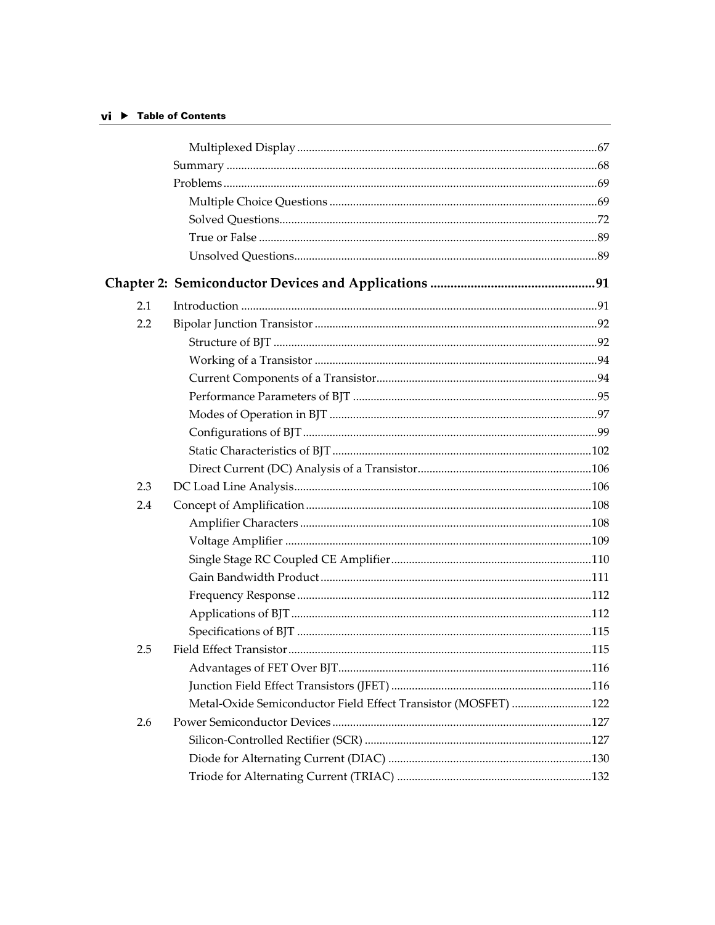### $vi$   $\blacktriangleright$  Table of Contents

| 2.1 |                                                                |  |
|-----|----------------------------------------------------------------|--|
| 2.2 |                                                                |  |
|     |                                                                |  |
|     |                                                                |  |
|     |                                                                |  |
|     |                                                                |  |
|     |                                                                |  |
|     |                                                                |  |
|     |                                                                |  |
|     |                                                                |  |
| 2.3 |                                                                |  |
| 2.4 |                                                                |  |
|     |                                                                |  |
|     |                                                                |  |
|     |                                                                |  |
|     |                                                                |  |
|     |                                                                |  |
|     |                                                                |  |
|     |                                                                |  |
| 2.5 |                                                                |  |
|     |                                                                |  |
|     |                                                                |  |
|     | Metal-Oxide Semiconductor Field Effect Transistor (MOSFET) 122 |  |
| 2.6 |                                                                |  |
|     |                                                                |  |
|     |                                                                |  |
|     |                                                                |  |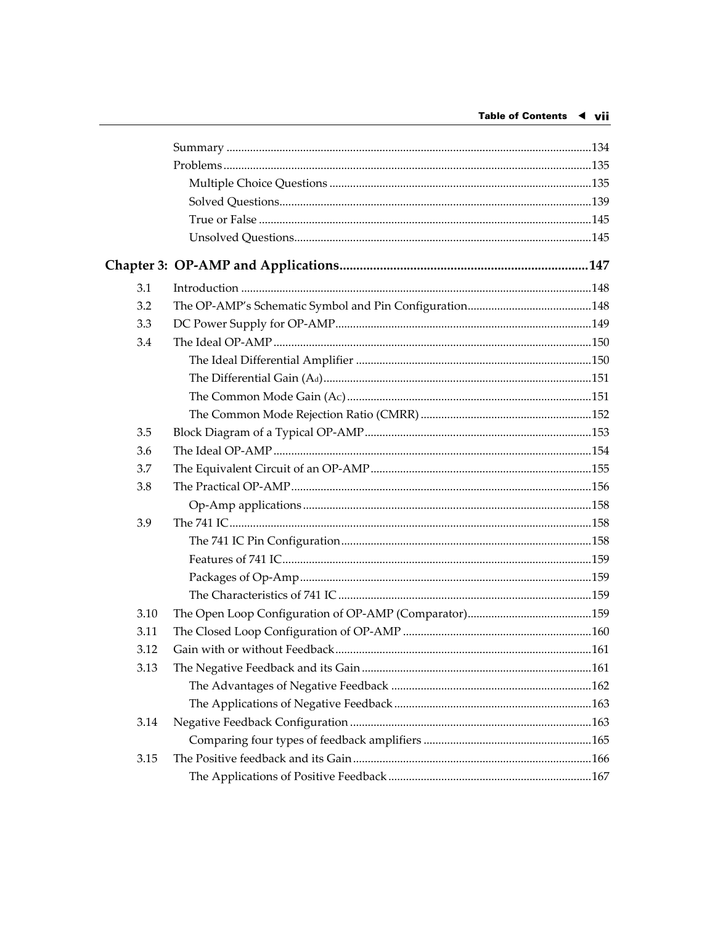| 3.1  |  |
|------|--|
| 3.2  |  |
| 3.3  |  |
| 3.4  |  |
|      |  |
|      |  |
|      |  |
|      |  |
| 3.5  |  |
| 3.6  |  |
| 3.7  |  |
| 3.8  |  |
|      |  |
| 3.9  |  |
|      |  |
|      |  |
|      |  |
|      |  |
| 3.10 |  |
| 3.11 |  |
| 3.12 |  |
| 3.13 |  |
|      |  |
|      |  |
| 3.14 |  |
|      |  |
| 3.15 |  |
|      |  |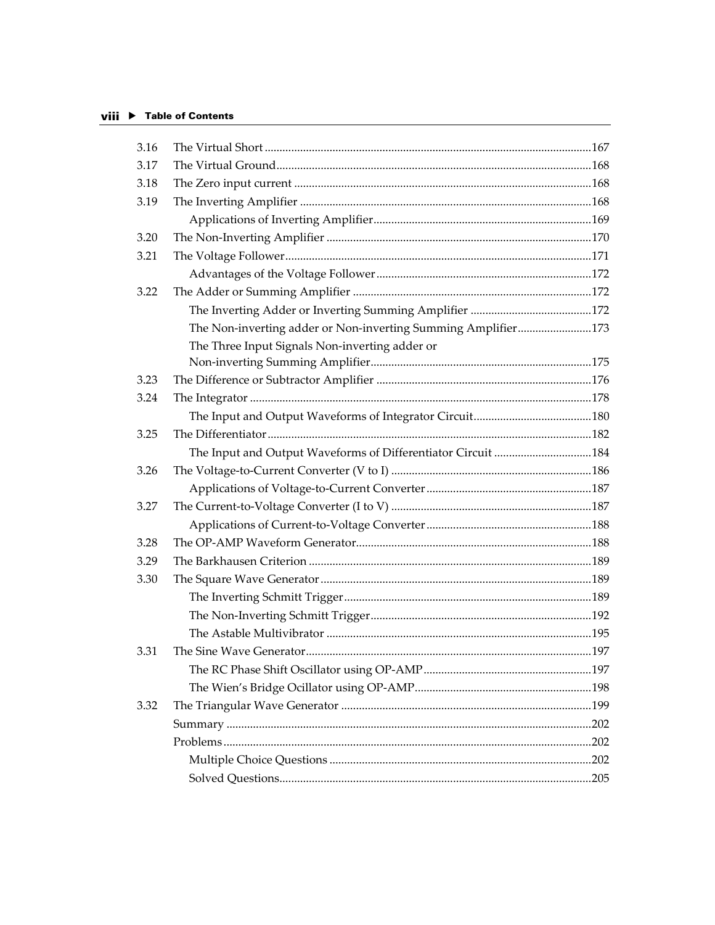#### viii ▶ Table of Contents

| 3.16 |                                                               |  |
|------|---------------------------------------------------------------|--|
| 3.17 |                                                               |  |
| 3.18 |                                                               |  |
| 3.19 |                                                               |  |
|      |                                                               |  |
| 3.20 |                                                               |  |
| 3.21 |                                                               |  |
|      |                                                               |  |
| 3.22 |                                                               |  |
|      |                                                               |  |
|      | The Non-inverting adder or Non-inverting Summing Amplifier173 |  |
|      | The Three Input Signals Non-inverting adder or                |  |
|      |                                                               |  |
| 3.23 |                                                               |  |
| 3.24 |                                                               |  |
|      |                                                               |  |
| 3.25 |                                                               |  |
|      | The Input and Output Waveforms of Differentiator Circuit 184  |  |
| 3.26 |                                                               |  |
|      |                                                               |  |
| 3.27 |                                                               |  |
|      |                                                               |  |
| 3.28 |                                                               |  |
| 3.29 |                                                               |  |
| 3.30 |                                                               |  |
|      |                                                               |  |
|      |                                                               |  |
|      |                                                               |  |
| 3.31 |                                                               |  |
|      |                                                               |  |
|      |                                                               |  |
| 3.32 |                                                               |  |
|      |                                                               |  |
|      |                                                               |  |
|      |                                                               |  |
|      |                                                               |  |
|      |                                                               |  |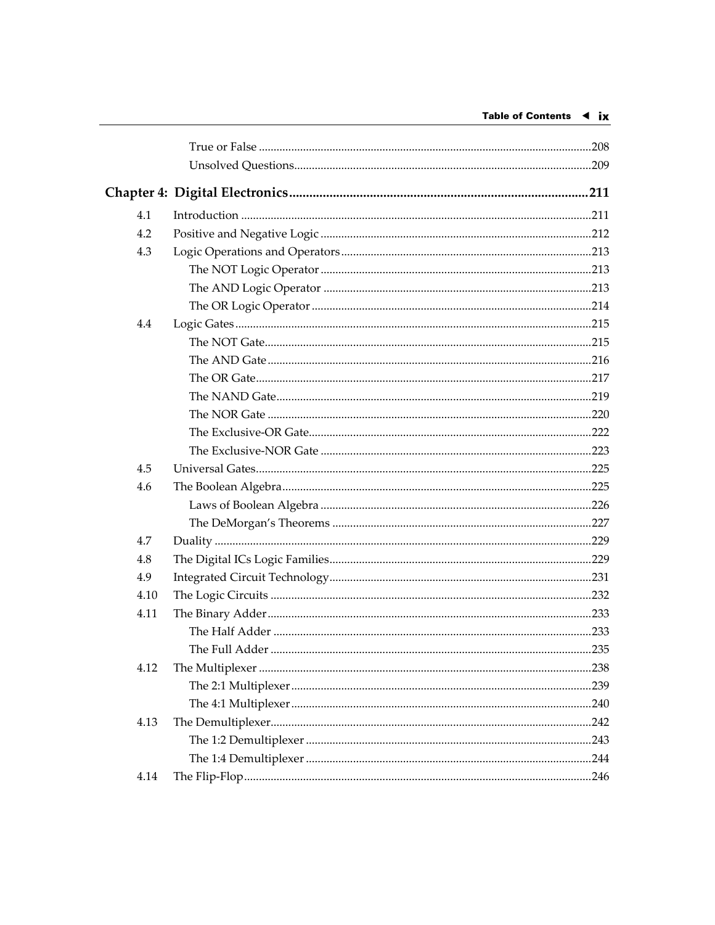| 4.1  |  |
|------|--|
| 4.2  |  |
| 4.3  |  |
|      |  |
|      |  |
|      |  |
| 4.4  |  |
|      |  |
|      |  |
|      |  |
|      |  |
|      |  |
|      |  |
|      |  |
| 4.5  |  |
| 4.6  |  |
|      |  |
|      |  |
| 4.7  |  |
| 4.8  |  |
| 4.9  |  |
| 4.10 |  |
| 4.11 |  |
|      |  |
|      |  |
| 4.12 |  |
|      |  |
|      |  |
| 4.13 |  |
|      |  |
|      |  |
| 4.14 |  |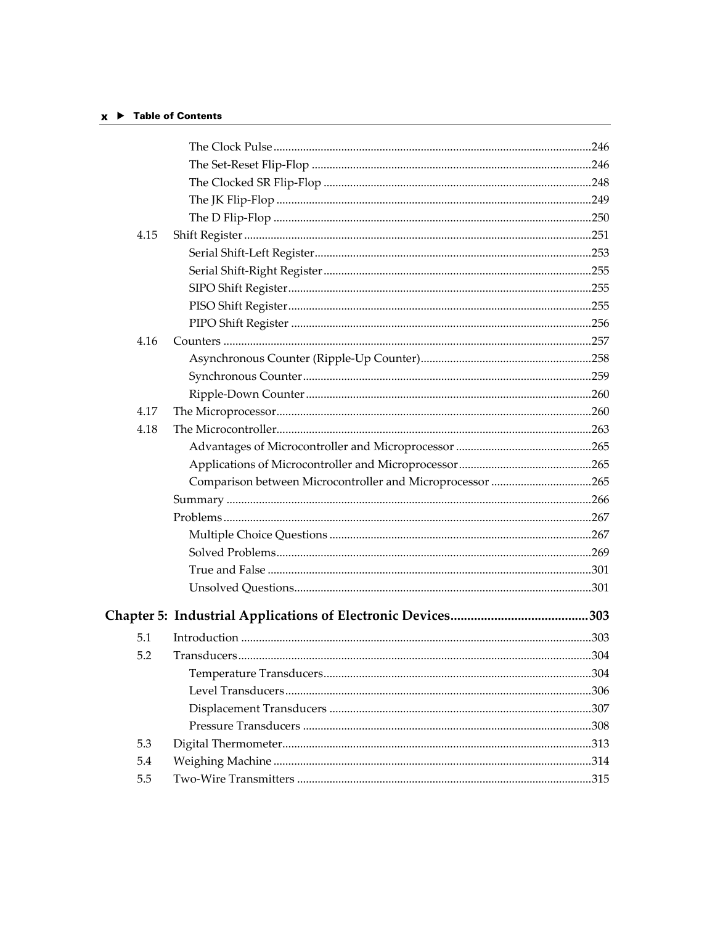## $x \rightarrow$  Table of Contents

| 4.15<br>4.16<br>4.17<br>4.18<br>Comparison between Microcontroller and Microprocessor 265<br>5.1<br>5.2<br>5.3 |  |  |
|----------------------------------------------------------------------------------------------------------------|--|--|
|                                                                                                                |  |  |
|                                                                                                                |  |  |
|                                                                                                                |  |  |
|                                                                                                                |  |  |
|                                                                                                                |  |  |
|                                                                                                                |  |  |
|                                                                                                                |  |  |
|                                                                                                                |  |  |
|                                                                                                                |  |  |
|                                                                                                                |  |  |
|                                                                                                                |  |  |
|                                                                                                                |  |  |
|                                                                                                                |  |  |
|                                                                                                                |  |  |
|                                                                                                                |  |  |
|                                                                                                                |  |  |
|                                                                                                                |  |  |
|                                                                                                                |  |  |
|                                                                                                                |  |  |
|                                                                                                                |  |  |
|                                                                                                                |  |  |
|                                                                                                                |  |  |
|                                                                                                                |  |  |
|                                                                                                                |  |  |
|                                                                                                                |  |  |
|                                                                                                                |  |  |
|                                                                                                                |  |  |
|                                                                                                                |  |  |
|                                                                                                                |  |  |
|                                                                                                                |  |  |
|                                                                                                                |  |  |
|                                                                                                                |  |  |
|                                                                                                                |  |  |
| 5.4                                                                                                            |  |  |
| 5.5                                                                                                            |  |  |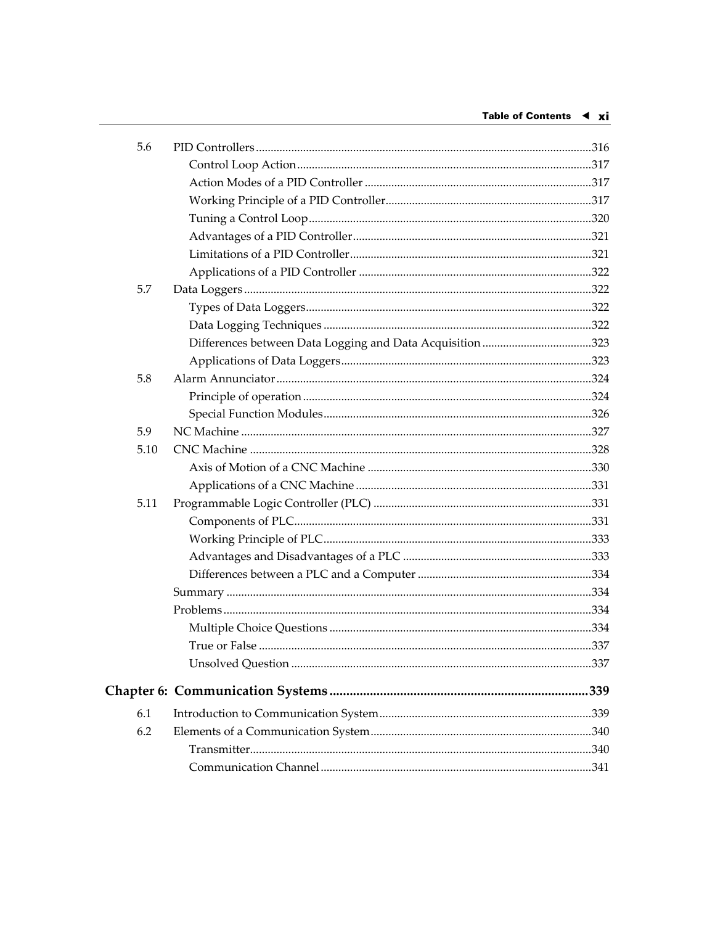| 5.6  |                                                           |  |
|------|-----------------------------------------------------------|--|
|      |                                                           |  |
|      |                                                           |  |
|      |                                                           |  |
|      |                                                           |  |
|      |                                                           |  |
|      |                                                           |  |
|      |                                                           |  |
| 5.7  |                                                           |  |
|      |                                                           |  |
|      |                                                           |  |
|      | Differences between Data Logging and Data Acquisition 323 |  |
|      |                                                           |  |
| 5.8  |                                                           |  |
|      |                                                           |  |
|      |                                                           |  |
| 5.9  |                                                           |  |
| 5.10 |                                                           |  |
|      |                                                           |  |
|      |                                                           |  |
| 5.11 |                                                           |  |
|      |                                                           |  |
|      |                                                           |  |
|      |                                                           |  |
|      |                                                           |  |
|      |                                                           |  |
|      |                                                           |  |
|      |                                                           |  |
|      |                                                           |  |
|      |                                                           |  |
|      |                                                           |  |
| 6.1  |                                                           |  |
| 6.2  |                                                           |  |
|      |                                                           |  |
|      |                                                           |  |
|      |                                                           |  |